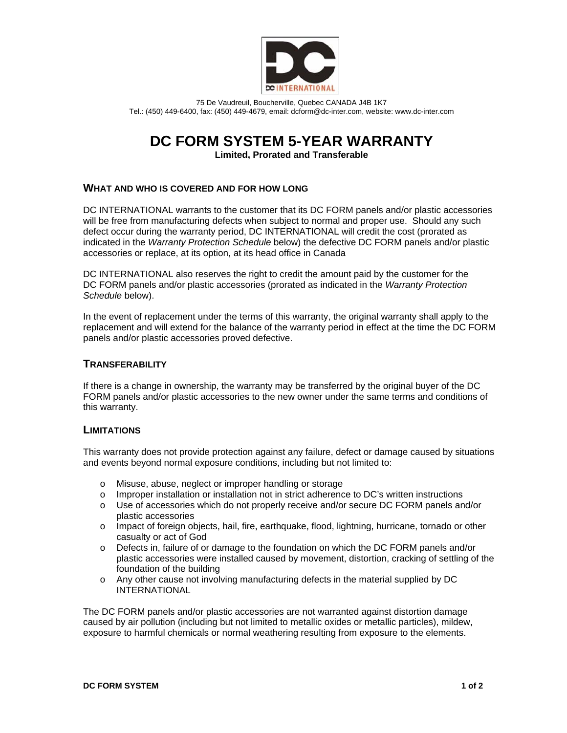

75 De Vaudreuil, Boucherville, Quebec CANADA J4B 1K7 Tel.: (450) 449-6400, fax: (450) 449-4679, email: dcform@dc-inter.com, website: www.dc-inter.com

# **DC FORM SYSTEM 5-YEAR WARRANTY**

**Limited, Prorated and Transferable** 

## **WHAT AND WHO IS COVERED AND FOR HOW LONG**

DC INTERNATIONAL warrants to the customer that its DC FORM panels and/or plastic accessories will be free from manufacturing defects when subject to normal and proper use. Should any such defect occur during the warranty period, DC INTERNATIONAL will credit the cost (prorated as indicated in the *Warranty Protection Schedule* below) the defective DC FORM panels and/or plastic accessories or replace, at its option, at its head office in Canada

DC INTERNATIONAL also reserves the right to credit the amount paid by the customer for the DC FORM panels and/or plastic accessories (prorated as indicated in the *Warranty Protection Schedule* below).

In the event of replacement under the terms of this warranty, the original warranty shall apply to the replacement and will extend for the balance of the warranty period in effect at the time the DC FORM panels and/or plastic accessories proved defective.

## **TRANSFERABILITY**

If there is a change in ownership, the warranty may be transferred by the original buyer of the DC FORM panels and/or plastic accessories to the new owner under the same terms and conditions of this warranty.

#### **LIMITATIONS**

This warranty does not provide protection against any failure, defect or damage caused by situations and events beyond normal exposure conditions, including but not limited to:

- o Misuse, abuse, neglect or improper handling or storage
- o Improper installation or installation not in strict adherence to DC's written instructions
- o Use of accessories which do not properly receive and/or secure DC FORM panels and/or plastic accessories
- o Impact of foreign objects, hail, fire, earthquake, flood, lightning, hurricane, tornado or other casualty or act of God
- o Defects in, failure of or damage to the foundation on which the DC FORM panels and/or plastic accessories were installed caused by movement, distortion, cracking of settling of the foundation of the building
- o Any other cause not involving manufacturing defects in the material supplied by DC INTERNATIONAL

The DC FORM panels and/or plastic accessories are not warranted against distortion damage caused by air pollution (including but not limited to metallic oxides or metallic particles), mildew, exposure to harmful chemicals or normal weathering resulting from exposure to the elements.